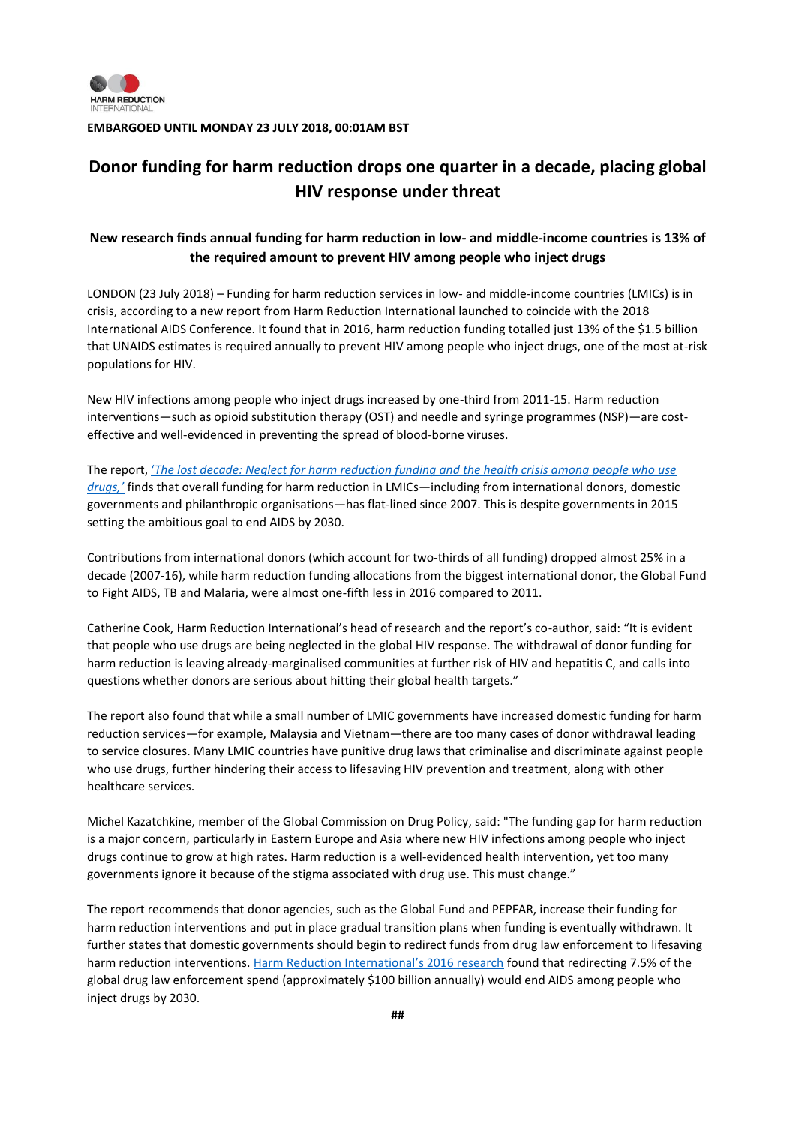

**EMBARGOED UNTIL MONDAY 23 JULY 2018, 00:01AM BST**

## **Donor funding for harm reduction drops one quarter in a decade, placing global HIV response under threat**

## **New research finds annual funding for harm reduction in low- and middle-income countries is 13% of the required amount to prevent HIV among people who inject drugs**

LONDON (23 July 2018) – Funding for harm reduction services in low- and middle-income countries (LMICs) is in crisis, according to a new report from Harm Reduction International launched to coincide with the 2018 International AIDS Conference. It found that in 2016, harm reduction funding totalled just 13% of the \$1.5 billion that UNAIDS estimates is required annually to prevent HIV among people who inject drugs, one of the most at-risk populations for HIV.

New HIV infections among people who inject drugs increased by one-third from 2011-15. Harm reduction interventions—such as opioid substitution therapy (OST) and needle and syringe programmes (NSP)—are costeffective and well-evidenced in preventing the spread of blood-borne viruses.

The report, '*[The lost decade: Neglect for harm reduction funding and the health crisis among people who use](http://www.hri.global/harm-reduction-funding)  [drugs,'](http://www.hri.global/harm-reduction-funding)* finds that overall funding for harm reduction in LMICs—including from international donors, domestic governments and philanthropic organisations—has flat-lined since 2007. This is despite governments in 2015 setting the ambitious goal to end AIDS by 2030.

Contributions from international donors (which account for two-thirds of all funding) dropped almost 25% in a decade (2007-16), while harm reduction funding allocations from the biggest international donor, the Global Fund to Fight AIDS, TB and Malaria, were almost one-fifth less in 2016 compared to 2011.

Catherine Cook, Harm Reduction International's head of research and the report's co-author, said: "It is evident that people who use drugs are being neglected in the global HIV response. The withdrawal of donor funding for harm reduction is leaving already-marginalised communities at further risk of HIV and hepatitis C, and calls into questions whether donors are serious about hitting their global health targets."

The report also found that while a small number of LMIC governments have increased domestic funding for harm reduction services—for example, Malaysia and Vietnam—there are too many cases of donor withdrawal leading to service closures. Many LMIC countries have punitive drug laws that criminalise and discriminate against people who use drugs, further hindering their access to lifesaving HIV prevention and treatment, along with other healthcare services.

Michel Kazatchkine, member of the Global Commission on Drug Policy, said: "The funding gap for harm reduction is a major concern, particularly in Eastern Europe and Asia where new HIV infections among people who inject drugs continue to grow at high rates. Harm reduction is a well-evidenced health intervention, yet too many governments ignore it because of the stigma associated with drug use. This must change."

The report recommends that donor agencies, such as the Global Fund and PEPFAR, increase their funding for harm reduction interventions and put in place gradual transition plans when funding is eventually withdrawn. It further states that domestic governments should begin to redirect funds from drug law enforcement to lifesaving harm reduction interventions. [Harm Reduction International's 2016 research](https://www.hri.global/harm-reduction-decade) found that redirecting 7.5% of the global drug law enforcement spend (approximately \$100 billion annually) would end AIDS among people who inject drugs by 2030.